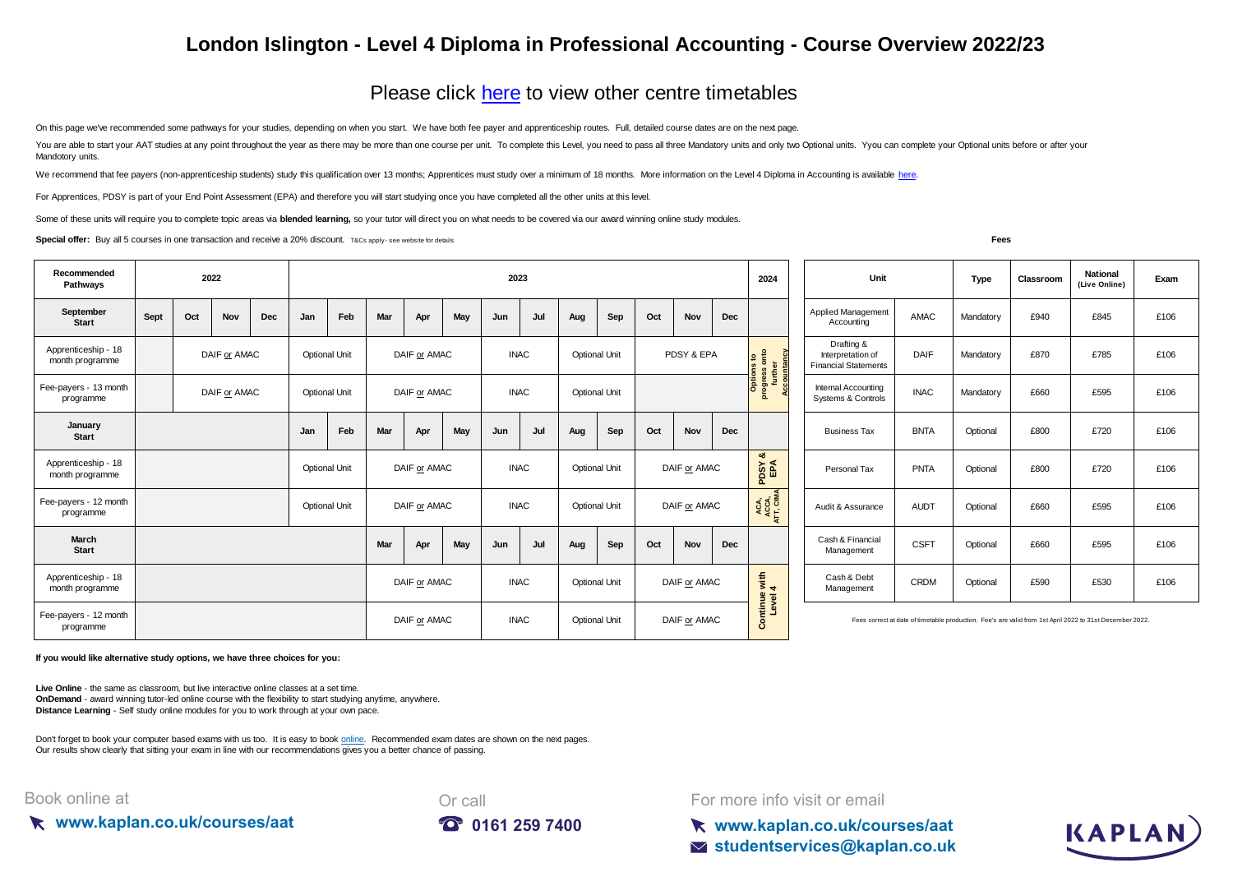## **London Islington - Level 4 Diploma in Professional Accounting - Course Overview 2022/23**

## [Please click here](https://kaplan.co.uk/courses/timetables/aat) to view other centre timetables

On this page we've recommended some pathways for your studies, depending on when you start. We have both fee payer and apprenticeship routes. Full, detailed course dates are on the next page.

You are able to start your AAT studies at any point throughout the year as there may be more than one course per unit. To complete this Level, you need to pass all three Mandatory units and only two Optional units. You can Mandotory units.

We recommend that fee payers (non-apprenticeship students) study this qualification over 13 months; Apprentices must study over a minimum of 18 months. More information on the Level 4 Diploma in Accounting is available her

For Apprentices, PDSY is part of your End Point Assessment (EPA) and therefore you will start studying once you have completed all the other units at this level.

Some of these units will require you to complete topic areas via **blended learning**, so your tutor will direct you on what needs to be covered via our award winning online study modules.

**Special offer:** Buy all 5 courses in one transaction and receive a 20% discount. T&Cs apply-see website for details

KAPLAN

| Recommended<br>Pathways                | 2022         |     |            |                      | 2023         |              |              |             |             |                      |                      |                      |              | 2024                                                            | Unit<br><b>Type</b>                                                                                      |                   |                           | Classroom                        | <b>National</b><br>(Live Online) | Exam      |      |      |      |
|----------------------------------------|--------------|-----|------------|----------------------|--------------|--------------|--------------|-------------|-------------|----------------------|----------------------|----------------------|--------------|-----------------------------------------------------------------|----------------------------------------------------------------------------------------------------------|-------------------|---------------------------|----------------------------------|----------------------------------|-----------|------|------|------|
| September<br><b>Start</b>              | Sept         | Oct | <b>Nov</b> | Dec                  | Jan          | Feb          | Mar          | Apr         | May         | Jun                  | Jul                  | Aug                  | Sep          | Oct                                                             | Nov                                                                                                      | Dec               |                           | Applied Management<br>Accounting | AMAC                             | Mandatory | £940 | £845 | £106 |
| Apprenticeship - 18<br>month programme | DAIF or AMAC |     |            | <b>Optional Unit</b> |              | DAIF or AMAC |              | <b>INAC</b> |             | <b>Optional Unit</b> |                      | PDSY & EPA           |              | <b>Options to<br/>progress onto<br/>further<br/>Accountancy</b> | Drafting &<br>Interpretation of<br><b>Financial Statements</b>                                           | DAIF              | Mandatory                 | £870                             | £785                             | £106      |      |      |      |
| Fee-payers - 13 month<br>programme     | DAIF or AMAC |     |            | <b>Optional Unit</b> |              | DAIF or AMAC |              | <b>INAC</b> |             | <b>Optional Unit</b> |                      |                      |              |                                                                 | Internal Accounting<br>Systems & Controls                                                                | <b>INAC</b>       | Mandatory                 | £660                             | £595                             | £106      |      |      |      |
| January<br><b>Start</b>                |              |     |            |                      | Jan          | Feb          | Mar          | Apr         | May         | Jun                  | Jul                  | Aug                  | Sep          | Oct                                                             | <b>Nov</b>                                                                                               | Dec               |                           | <b>Business Tax</b>              | <b>BNTA</b>                      | Optional  | £800 | £720 | £106 |
| Apprenticeship - 18<br>month programme |              |     |            | <b>Optional Unit</b> |              | DAIF or AMAC |              | <b>INAC</b> |             | <b>Optional Unit</b> |                      | DAIF or AMAC         |              | ಹ<br>PDSY                                                       | Personal Tax                                                                                             | PNTA              | Optional                  | £800                             | £720                             | £106      |      |      |      |
| Fee-payers - 12 month<br>programme     |              |     |            | <b>Optional Unit</b> |              | DAIF or AMAC |              |             | <b>INAC</b> |                      | <b>Optional Unit</b> |                      | DAIF or AMAC |                                                                 | ACA,<br>ACCA,<br>ATT, CIMA                                                                               | Audit & Assurance | <b>AUDT</b>               | Optional                         | £660                             | £595      | £106 |      |      |
| March<br><b>Start</b>                  |              |     |            |                      |              |              | Mar          | Apr         | May         | Jun                  | Jul                  | Aug                  | Sep          | Oct                                                             | Nov                                                                                                      | Dec               |                           | Cash & Financial<br>Management   | <b>CSFT</b>                      | Optional  | £660 | £595 | £106 |
| Apprenticeship - 18<br>month programme |              |     |            |                      |              |              | DAIF or AMAC |             |             | <b>INAC</b>          |                      | <b>Optional Unit</b> |              | DAIF or AMAC                                                    |                                                                                                          | with $4$          | Cash & Debt<br>Management | <b>CRDM</b>                      | Optional                         | £590      | £530 | £106 |      |
| Fee-payers - 12 month<br>programme     |              |     |            |                      | DAIF or AMAC |              |              | <b>INAC</b> |             | <b>Optional Unit</b> |                      | DAIF or AMAC         |              | Continue<br>Level                                               | Fees correct at date of timetable production. Fee's are valid from 1st April 2022 to 31st December 2022. |                   |                           |                                  |                                  |           |      |      |      |

**If you would like alternative study options, we have three choices for you:**

**Live Online** - the same as classroom, but live interactive online classes at a set time. **OnDemand** - award winning tutor-led online course with the flexibility to start studying anytime, anywhere. **Distance Learning** - Self study online modules for you to work through at your own pace.

[Don't forget to book your computer based exams with us too. It is easy to book online.](https://kaplan.co.uk/exams) Recommended exam dates are shown on the next pages. [Our results show clearly th](https://kaplan.co.uk/exams)at sitting your exam in line with our recommendations gives you a better chance of passing.

## Book online at





For more info visit or email

**www.kaplan.co.uk/courses/aat studentservices@kaplan.co.uk**